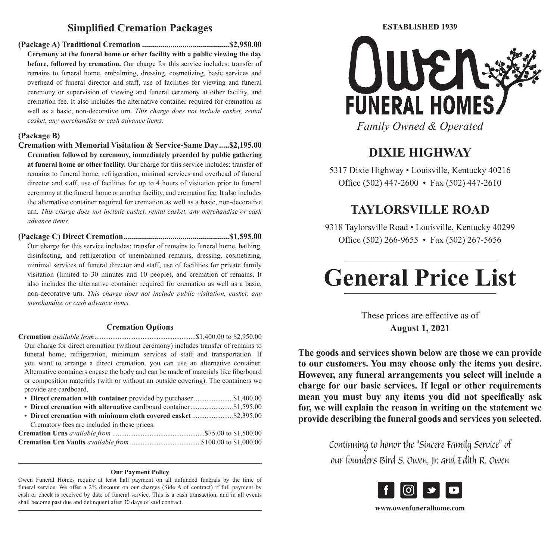# **Simplified Cremation Packages**

**(Package A) Traditional Cremation ...........................................\$2,950.00 Ceremony at the funeral home or other facility with a public viewing the day before, followed by cremation.** Our charge for this service includes: transfer of remains to funeral home, embalming, dressing, cosmetizing, basic services and overhead of funeral director and staff, use of facilities for viewing and funeral ceremony or supervision of viewing and funeral ceremony at other facility, and cremation fee. It also includes the alternative container required for cremation as well as a basic, non-decorative urn. *This charge does not include casket, rental casket, any merchandise or cash advance items.*

#### **(Package B)**

- **Cremation with Memorial Visitation & Service-Same Day.....\$2,195.00 Cremation followed by ceremony, immediately preceded by public gathering at funeral home or other facility.** Our charge for this service includes: transfer of remains to funeral home, refrigeration, minimal services and overhead of funeral director and staff, use of facilities for up to 4 hours of visitation prior to funeral ceremony at the funeral home or another facility, and cremation fee. It also includes the alternative container required for cremation as well as a basic, non-decorative urn. *This charge does not include casket, rental casket, any merchandise or cash advance items.*
- **(Package C) Direct Cremation....................................................\$1,595.00** Our charge for this service includes: transfer of remains to funeral home, bathing, disinfecting, and refrigeration of unembalmed remains, dressing, cosmetizing, minimal services of funeral director and staff, use of facilities for private family visitation (limited to 30 minutes and 10 people), and cremation of remains. It also includes the alternative container required for cremation as well as a basic, non-decorative urn. *This charge does not include public visitation, casket, any merchandise or cash advance items.*

#### **Cremation Options**

- **Cremation** *available from*.........................................................\$1,400.00 to \$2,950.00 Our charge for direct cremation (without ceremony) includes transfer of remains to funeral home, refrigeration, minimum services of staff and transportation. If you want to arrange a direct cremation, you can use an alternative container. Alternative containers encase the body and can be made of materials like fiberboard or composition materials (with or without an outside covering). The containers we provide are cardboard.
- **• Direct cremation with container** provided by purchaser ......................\$1,400.00
- **Direct cremation with alternative** cardboard container.......................\$1,595.00 **• Direct cremation with minimum cloth covered casket** .......................\$2,395.00 Crematory fees are included in these prices. **Cremation Urns** *available from* ....................................................\$75.00 to \$1,500.00 **Cremation Urn Vaults** *available from* ........................................\$100.00 to \$1,000.00

#### **Our Payment Policy**

Owen Funeral Homes require at least half payment on all unfunded funerals by the time of funeral service. We offer a 2% discount on our charges (Side A of contract) if full payment by cash or check is received by date of funeral service. This is a cash transaction, and in all events shall become past due and delinquent after 30 days of said contract.



# **DIXIE HIGHWAY**

5317 Dixie Highway • Louisville, Kentucky 40216 Office (502) 447-2600 • Fax (502) 447-2610

# **TAYLORSVILLE ROAD**

9318 Taylorsville Road • Louisville, Kentucky 40299 Office (502) 266-9655 • Fax (502) 267-5656

# **General Price List**

These prices are effective as of **August 1, 2021**

**The goods and services shown below are those we can provide to our customers. You may choose only the items you desire. However, any funeral arrangements you select will include a charge for our basic services. If legal or other requirements mean you must buy any items you did not specifically ask for, we will explain the reason in writing on the statement we provide describing the funeral goods and services you selected.**

> Continuing to honor the "Sincere Family Service" of our founders Bird S. Owen, Jr. and Edith R. Owen



**www.owenfuneralhome.com**